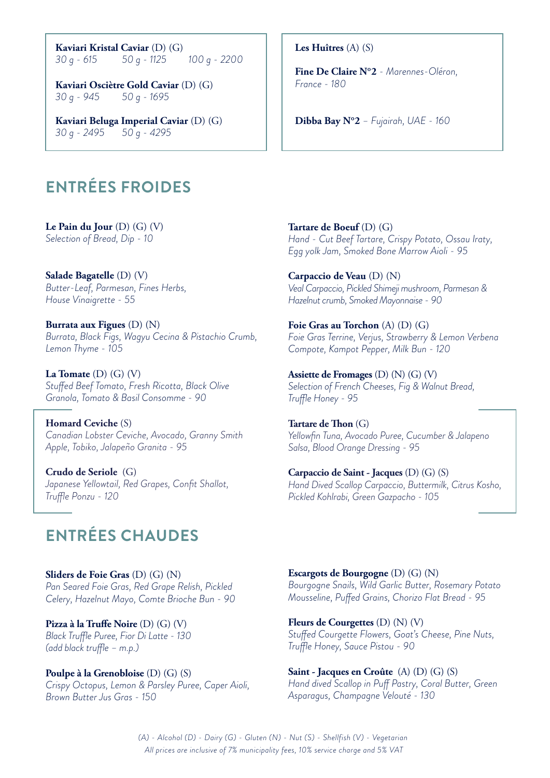**Kaviari Kristal Caviar** (D) (G) 30 q - 615 50 q - 1125 *30 g - 615 50 g - 1125 100 g - 2200*

**Kaviari Osciètre Gold Caviar** (D) (G) *30 g - 945 50 g - 1695*

**Kaviari Beluga Imperial Caviar** (D) (G) *30 g - 2495 50 g - 4295*

# **ENTRÉES FROIDES**

**Le Pain du Jour** (D) (G) (V) *Selection of Bread, Dip - 10*

**Salade Bagatelle** (D) (V) *Butter-Leaf, Parmesan, Fines Herbs, House Vinaigrette - 55*

**Burrata aux Figues** (D) (N) *Burrata, Black Figs, Wagyu Cecina & Pistachio Crumb, Lemon Thyme - 105*

**La Tomate** (D) (G) (V) *Stuffed Beef Tomato, Fresh Ricotta, Black Olive Granola, Tomato & Basil Consomme - 90*

**Homard Ceviche** (S) *Canadian Lobster Ceviche, Avocado, Granny Smith Apple, Tobiko, Jalapeño Granita - 95*

**Crudo de Seriole** (G) *Japanese Yellowtail, Red Grapes, Confit Shallot, Truffle Ponzu - 120*

# **ENTRÉES CHAUDES**

**Sliders de Foie Gras** (D) (G) (N) *Pan Seared Foie Gras, Red Grape Relish, Pickled Celery, Hazelnut Mayo, Comte Brioche Bun - 90*

**Pizza à la Truffe Noire** (D) (G) (V) *Black Truffle Puree, Fior Di Latte - 130 (add black truffle – m.p.)*

**Poulpe à la Grenobloise** (D) (G) (S) *Crispy Octopus, Lemon & Parsley Puree, Caper Aioli, Brown Butter Jus Gras - 150*

**Les Huîtres** (A) (S)

**Fine De Claire N°2** *- Marennes-Oléron, France - 180*

**Dibba Bay N°2** *– Fujairah, UAE - 160*

**Tartare de Boeuf** (D) (G) *Hand - Cut Beef Tartare, Crispy Potato, Ossau Iraty, Egg yolk Jam, Smoked Bone Marrow Aioli - 95*

**Carpaccio de Veau** (D) (N) *Veal Carpaccio, Pickled Shimeji mushroom, Parmesan & Hazelnut crumb, Smoked Mayonnaise - 90*

**Foie Gras au Torchon** (A) (D) (G) *Foie Gras Terrine, Verjus, Strawberry & Lemon Verbena Compote, Kampot Pepper, Milk Bun - 120*

**Assiette de Fromages** (D) (N) (G) (V) *Selection of French Cheeses, Fig & Walnut Bread, Truffle Honey - 95*

**Tartare de Thon** (G) *Yellowfin Tuna, Avocado Puree, Cucumber & Jalapeno Salsa, Blood Orange Dressing - 95*

**Carpaccio de Saint - Jacques** (D) (G) (S) *Hand Dived Scallop Carpaccio, Buttermilk, Citrus Kosho, Pickled Kohlrabi, Green Gazpacho - 105*

**Escargots de Bourgogne** (D) (G) (N) *Bourgogne Snails, Wild Garlic Butter, Rosemary Potato Mousseline, Puffed Grains, Chorizo Flat Bread - 95*

**Fleurs de Courgettes** (D) (N) (V) *Stuffed Courgette Flowers, Goat's Cheese, Pine Nuts, Truffle Honey, Sauce Pistou - 90*

**Saint - Jacques en Croûte** (A) (D) (G) (S) *Hand dived Scallop in Puff Pastry, Coral Butter, Green Asparagus, Champagne Velouté - 130*

*(A) - Alcohol (D) - Dairy (G) - Gluten (N) - Nut (S) - Shellfish (V) - Vegetarian All prices are inclusive of 7% municipality fees, 10% service charge and 5% VAT*